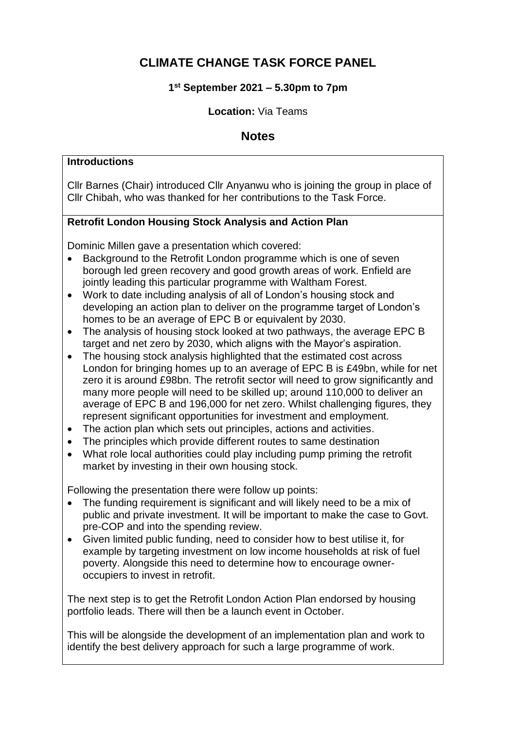# **CLIMATE CHANGE TASK FORCE PANEL**

# **1 st September 2021 – 5.30pm to 7pm**

### **Location:** Via Teams

# **Notes**

#### **Introductions**

Cllr Barnes (Chair) introduced Cllr Anyanwu who is joining the group in place of Cllr Chibah, who was thanked for her contributions to the Task Force.

# **Retrofit London Housing Stock Analysis and Action Plan**

Dominic Millen gave a presentation which covered:

- Background to the Retrofit London programme which is one of seven borough led green recovery and good growth areas of work. Enfield are jointly leading this particular programme with Waltham Forest.
- Work to date including analysis of all of London's housing stock and developing an action plan to deliver on the programme target of London's homes to be an average of EPC B or equivalent by 2030.
- The analysis of housing stock looked at two pathways, the average EPC B target and net zero by 2030, which aligns with the Mayor's aspiration.
- The housing stock analysis highlighted that the estimated cost across London for bringing homes up to an average of EPC B is £49bn, while for net zero it is around £98bn. The retrofit sector will need to grow significantly and many more people will need to be skilled up; around 110,000 to deliver an average of EPC B and 196,000 for net zero. Whilst challenging figures, they represent significant opportunities for investment and employment.
- The action plan which sets out principles, actions and activities.
- The principles which provide different routes to same destination
- What role local authorities could play including pump priming the retrofit market by investing in their own housing stock.

Following the presentation there were follow up points:

- The funding requirement is significant and will likely need to be a mix of public and private investment. It will be important to make the case to Govt. pre-COP and into the spending review.
- Given limited public funding, need to consider how to best utilise it, for example by targeting investment on low income households at risk of fuel poverty. Alongside this need to determine how to encourage owneroccupiers to invest in retrofit.

The next step is to get the Retrofit London Action Plan endorsed by housing portfolio leads. There will then be a launch event in October.

This will be alongside the development of an implementation plan and work to identify the best delivery approach for such a large programme of work.